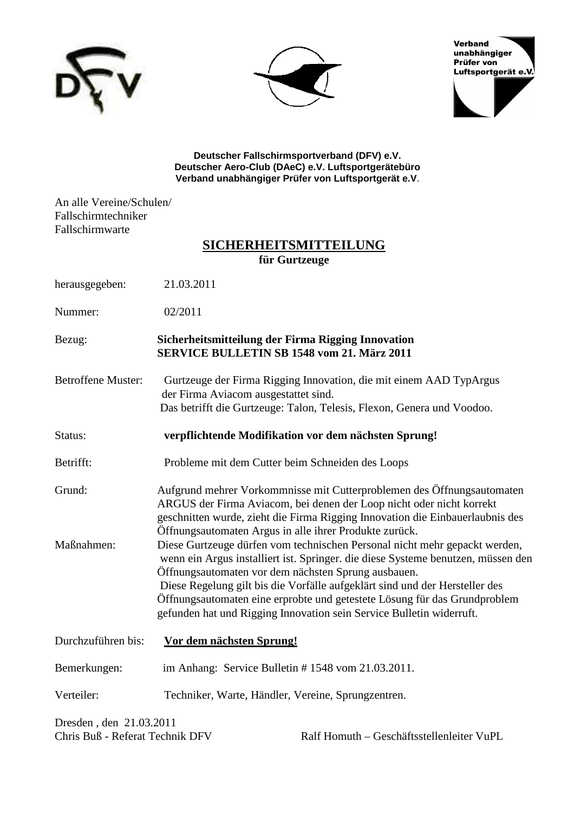





**Deutscher Fallschirmsportverband (DFV) e.V. Deutscher Aero-Club (DAeC) e.V. Luftsportgerätebüro Verband unabhängiger Prüfer von Luftsportgerät e.V**.

An alle Vereine/Schulen/ Fallschirmtechniker Fallschirmwarte

### **SICHERHEITSMITTEILUNG für Gurtzeuge**

| herausgegeben: | 21.03.2011 |
|----------------|------------|
|----------------|------------|

Nummer: 02/2011

### Bezug: **Sicherheitsmitteilung der Firma Rigging Innovation SERVICE BULLETIN SB 1548 vom 21. März 2011**

- Betroffene Muster: Gurtzeuge der Firma Rigging Innovation, die mit einem AAD TypArgus der Firma Aviacom ausgestattet sind. Das betrifft die Gurtzeuge: Talon, Telesis, Flexon, Genera und Voodoo.
- Status: **verpflichtende Modifikation vor dem nächsten Sprung!**
- Betrifft: Probleme mit dem Cutter beim Schneiden des Loops
- Grund: Aufgrund mehrer Vorkommnisse mit Cutterproblemen des Öffnungsautomaten ARGUS der Firma Aviacom, bei denen der Loop nicht oder nicht korrekt geschnitten wurde, zieht die Firma Rigging Innovation die Einbauerlaubnis des Öffnungsautomaten Argus in alle ihrer Produkte zurück.
- Maßnahmen: Diese Gurtzeuge dürfen vom technischen Personal nicht mehr gepackt werden, wenn ein Argus installiert ist. Springer. die diese Systeme benutzen, müssen den Öffnungsautomaten vor dem nächsten Sprung ausbauen. Diese Regelung gilt bis die Vorfälle aufgeklärt sind und der Hersteller des Öffnungsautomaten eine erprobte und getestete Lösung für das Grundproblem gefunden hat und Rigging Innovation sein Service Bulletin widerruft.

| Durchzuführen bis: | Vor dem nächsten Sprung!                                |
|--------------------|---------------------------------------------------------|
| Bemerkungen:       | im Anhang: Service Bulletin $# 1548$ vom $21.03.2011$ . |
| Verteiler:         | Techniker, Warte, Händler, Vereine, Sprungzentren.      |

Dresden , den 21.03.2011

Chris Buß - Referat Technik DFV Ralf Homuth – Geschäftsstellenleiter VuPL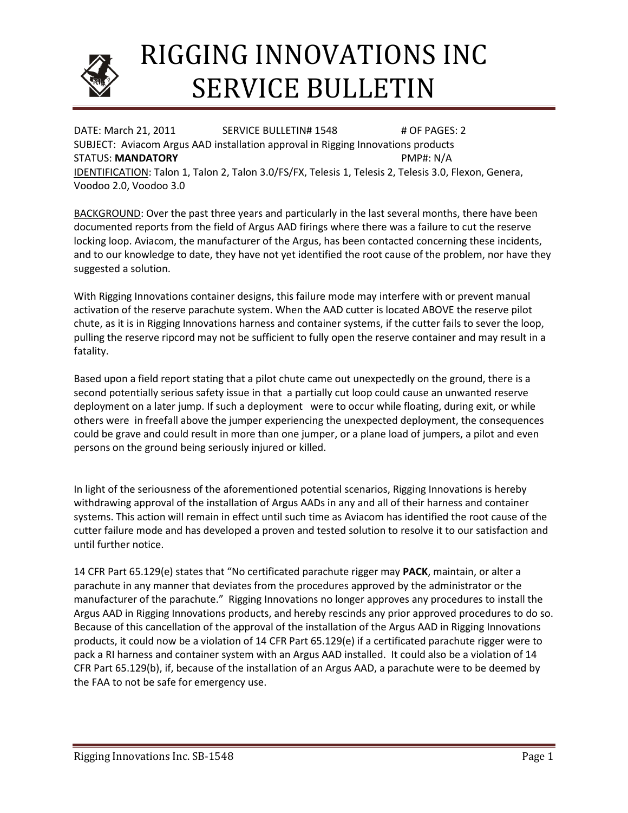

# RIGGING INNOVATIONS INC SERVICE BULLETIN

DATE: March 21, 2011 SERVICE BULLETIN# 1548 # OF PAGES: 2 SUBJECT: Aviacom Argus AAD installation approval in Rigging Innovations products STATUS: **MANDATORY PMP#: N/A** IDENTIFICATION: Talon 1, Talon 2, Talon 3.0/FS/FX, Telesis 1, Telesis 2, Telesis 3.0, Flexon, Genera, Voodoo 2.0, Voodoo 3.0

BACKGROUND: Over the past three years and particularly in the last several months, there have been documented reports from the field of Argus AAD firings where there was a failure to cut the reserve locking loop. Aviacom, the manufacturer of the Argus, has been contacted concerning these incidents, and to our knowledge to date, they have not yet identified the root cause of the problem, nor have they suggested a solution.

With Rigging Innovations container designs, this failure mode may interfere with or prevent manual activation of the reserve parachute system. When the AAD cutter is located ABOVE the reserve pilot chute, as it is in Rigging Innovations harness and container systems, if the cutter fails to sever the loop, pulling the reserve ripcord may not be sufficient to fully open the reserve container and may result in a fatality.

Based upon a field report stating that a pilot chute came out unexpectedly on the ground, there is a second potentially serious safety issue in that a partially cut loop could cause an unwanted reserve deployment on a later jump. If such a deployment were to occur while floating, during exit, or while others were in freefall above the jumper experiencing the unexpected deployment, the consequences could be grave and could result in more than one jumper, or a plane load of jumpers, a pilot and even persons on the ground being seriously injured or killed.

In light of the seriousness of the aforementioned potential scenarios, Rigging Innovations is hereby withdrawing approval of the installation of Argus AADs in any and all of their harness and container systems. This action will remain in effect until such time as Aviacom has identified the root cause of the cutter failure mode and has developed a proven and tested solution to resolve it to our satisfaction and until further notice.

14 CFR Part 65.129(e) states that "No certificated parachute rigger may PACK, maintain, or alter a parachute in any manner that deviates from the procedures approved by the administrator or the manufacturer of the parachute." Rigging Innovations no longer approves any procedures to install the Argus AAD in Rigging Innovations products, and hereby rescinds any prior approved procedures to do so. Because of this cancellation of the approval of the installation of the Argus AAD in Rigging Innovations products, it could now be a violation of 14 CFR Part 65.129(e) if a certificated parachute rigger were to pack a RI harness and container system with an Argus AAD installed. It could also be a violation of 14 CFR Part 65.129(b), if, because of the installation of an Argus AAD, a parachute were to be deemed by the FAA to not be safe for emergency use.